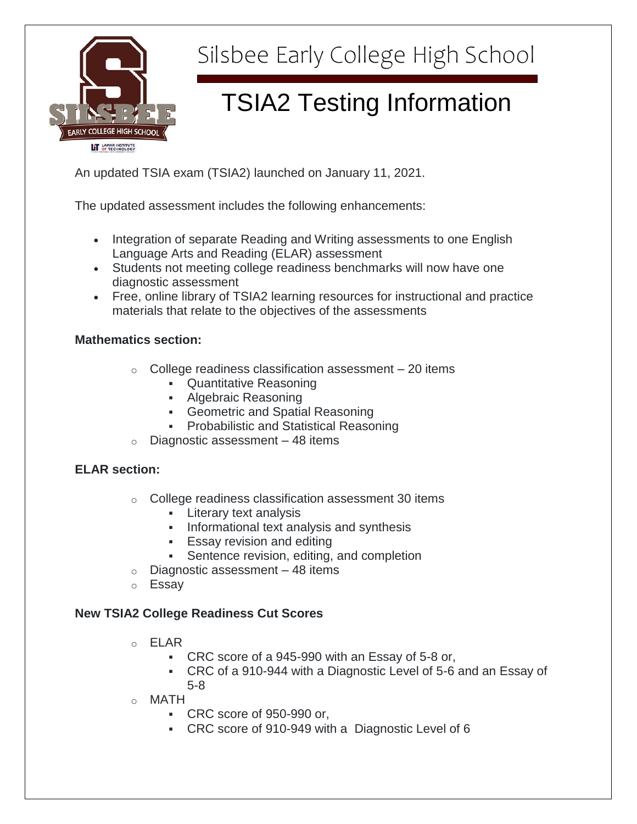

# Silsbee Early College High School

# TSIA2 Testing Information

An updated TSIA exam (TSIA2) launched on January 11, 2021.

The updated assessment includes the following enhancements:

- Integration of separate Reading and Writing assessments to one English Language Arts and Reading (ELAR) assessment
- Students not meeting college readiness benchmarks will now have one diagnostic assessment
- Free, online library of TSIA2 learning resources for instructional and practice materials that relate to the objectives of the assessments

### **Mathematics section:**

- $\circ$  College readiness classification assessment  $-20$  items
	- **Quantitative Reasoning**
	- Algebraic Reasoning
	- **Geometric and Spatial Reasoning**
	- Probabilistic and Statistical Reasoning
- $\circ$  Diagnostic assessment 48 items

## **ELAR section:**

- o College readiness classification assessment 30 items
	- **Literary text analysis**
	- **Informational text analysis and synthesis**
	- **Essay revision and editing**
	- **Sentence revision, editing, and completion**
- $\circ$  Diagnostic assessment 48 items
- o Essay

## **New TSIA2 College Readiness Cut Scores**

- o ELAR
	- CRC score of a 945-990 with an Essay of 5-8 or,
	- CRC of a 910-944 with a Diagnostic Level of 5-6 and an Essay of 5-8
- o MATH
	- CRC score of 950-990 or,
	- CRC score of 910-949 with a Diagnostic Level of 6